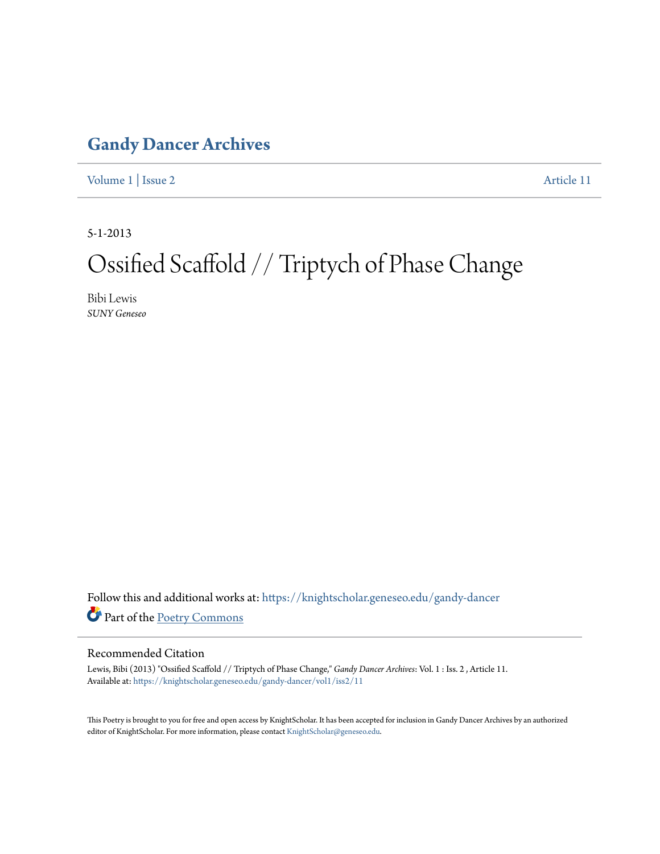#### **[Gandy Dancer Archives](https://knightscholar.geneseo.edu/gandy-dancer?utm_source=knightscholar.geneseo.edu%2Fgandy-dancer%2Fvol1%2Fiss2%2F11&utm_medium=PDF&utm_campaign=PDFCoverPages)**

[Volume 1](https://knightscholar.geneseo.edu/gandy-dancer/vol1?utm_source=knightscholar.geneseo.edu%2Fgandy-dancer%2Fvol1%2Fiss2%2F11&utm_medium=PDF&utm_campaign=PDFCoverPages) | [Issue 2](https://knightscholar.geneseo.edu/gandy-dancer/vol1/iss2?utm_source=knightscholar.geneseo.edu%2Fgandy-dancer%2Fvol1%2Fiss2%2F11&utm_medium=PDF&utm_campaign=PDFCoverPages) [Article 11](https://knightscholar.geneseo.edu/gandy-dancer/vol1/iss2/11?utm_source=knightscholar.geneseo.edu%2Fgandy-dancer%2Fvol1%2Fiss2%2F11&utm_medium=PDF&utm_campaign=PDFCoverPages)

5-1-2013

### Ossified Scaffold // Triptych of Phase Change

Bibi Lewis *SUNY Geneseo*

Follow this and additional works at: [https://knightscholar.geneseo.edu/gandy-dancer](https://knightscholar.geneseo.edu/gandy-dancer?utm_source=knightscholar.geneseo.edu%2Fgandy-dancer%2Fvol1%2Fiss2%2F11&utm_medium=PDF&utm_campaign=PDFCoverPages) Part of the [Poetry Commons](http://network.bepress.com/hgg/discipline/1153?utm_source=knightscholar.geneseo.edu%2Fgandy-dancer%2Fvol1%2Fiss2%2F11&utm_medium=PDF&utm_campaign=PDFCoverPages)

#### Recommended Citation

Lewis, Bibi (2013) "Ossified Scaffold // Triptych of Phase Change," *Gandy Dancer Archives*: Vol. 1 : Iss. 2 , Article 11. Available at: [https://knightscholar.geneseo.edu/gandy-dancer/vol1/iss2/11](https://knightscholar.geneseo.edu/gandy-dancer/vol1/iss2/11?utm_source=knightscholar.geneseo.edu%2Fgandy-dancer%2Fvol1%2Fiss2%2F11&utm_medium=PDF&utm_campaign=PDFCoverPages)

This Poetry is brought to you for free and open access by KnightScholar. It has been accepted for inclusion in Gandy Dancer Archives by an authorized editor of KnightScholar. For more information, please contact [KnightScholar@geneseo.edu.](mailto:KnightScholar@geneseo.edu)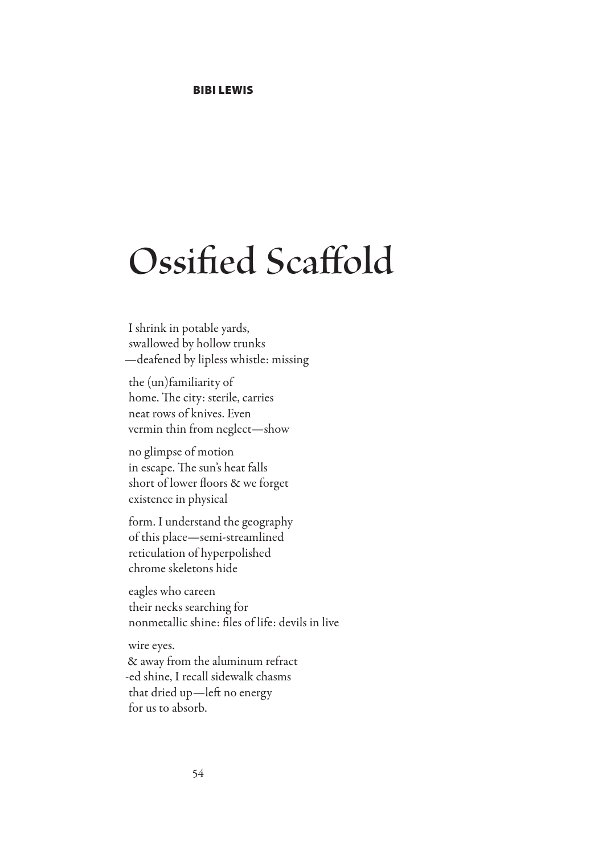## **Ossified Scaffold**

I shrink in potable yards, swallowed by hollow trunks —deafened by lipless whistle: missing

the (un)familiarity of home. The city: sterile, carries neat rows of knives. Even vermin thin from neglect—show

no glimpse of motion in escape. The sun's heat falls short of lower floors & we forget existence in physical

form. I understand the geography of this place—semi-streamlined reticulation of hyperpolished chrome skeletons hide

eagles who careen their necks searching for nonmetallic shine: files of life: devils in live

wire eyes.

& away from the aluminum refract -ed shine, I recall sidewalk chasms that dried up—left no energy for us to absorb.